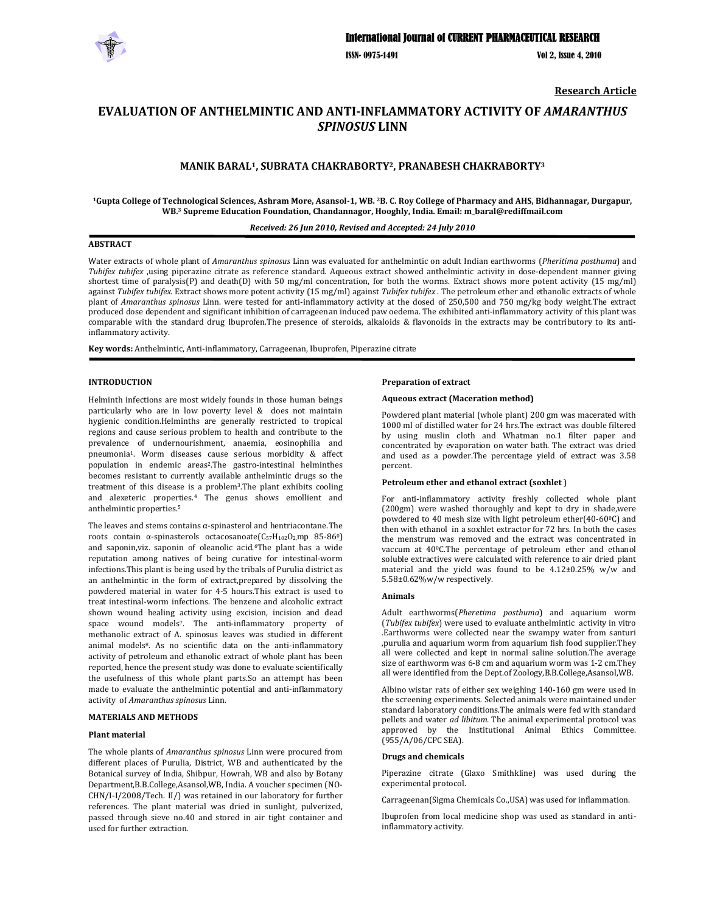

ISSN- 0975-1491 Vol 2, Issue 4, 2010

**Research Article**

# **EVALUATION OF ANTHELMINTIC AND ANTIINFLAMMATORY ACTIVITY OF** *AMARANTHUS SPINOSUS* **LINN**

## **MANIK BARAL1, SUBRATA CHAKRABORTY2, PRANABESH CHAKRABORTY3**

<sup>1</sup>Gupta College of Technological Sciences, Ashram More, Asansol-1, WB. <sup>2</sup>B. C. Roy College of Pharmacy and AHS, Bidhannagar, Durgapur, **WB.3 Supreme Education Foundation, Chandannagor, Hooghly, India. Email: m\_baral@rediffmail.com**

## *Received: 26 Jun 2010, Revised and Accepted: 24 July 2010*

#### **ABSTRACT**

Water extracts of whole plant of *Amaranthus spinosus* Linn was evaluated for anthelmintic on adult Indian earthworms (*Pheritima posthuma*) and *Tubifex tubifex* ,using piperazine citrate as reference standard. Aqueous extract showed anthelmintic activity in dose-dependent manner giving shortest time of paralysis(P) and death(D) with 50 mg/ml concentration, for both the worms. Extract shows more potent activity  $(15 \text{ mg/ml})$ against *Tubifex tubifex.* Extract shows more potent activity (15 mg/ml) against *Tubifex tubifex* . The petroleum ether and ethanolic extracts of whole plant of *Amaranthus spinosus* Linn. were tested for anti-inflammatory activity at the dosed of 250,500 and 750 mg/kg body weight. The extract produced dose dependent and significant inhibition of carrageenan induced paw oedema. The exhibited anti‐inflammatory activity of this plant was comparable with the standard drug Ibuprofen.The presence of steroids, alkaloids & flavonoids in the extracts may be contributory to its anti‐ inflammatory activity.

**Key words:** Anthelmintic, Anti‐inflammatory, Carrageenan, Ibuprofen, Piperazine citrate

#### **INTRODUCTION**

Helminth infections are most widely founds in those human beings particularly who are in low poverty level & does not maintain hygienic condition.Helminths are generally restricted to tropical regions and cause serious problem to health and contribute to the prevalence of undernourishment, anaemia, eosinophilia and pneumonia1. Worm diseases cause serious morbidity & affect population in endemic areas<sup>2</sup>.The gastro-intestinal helminthes becomes resistant to currently available anthelmintic drugs so the treatment of this disease is a problem3.The plant exhibits cooling and alexeteric properties.4 The genus shows emollient and anthelmintic properties.5

The leaves and stems contains  $\alpha$ -spinasterol and hentriacontane. The roots contain α-spinasterols octacosanoate $(C_{57}H_{102}O_{2,mp}$  85-86<sup>0</sup>) and saponin,viz. saponin of oleanolic acid.6The plant has a wide reputation among natives of being curative for intestinal‐worm infections.This plant is being used by the tribals of Purulia district as an anthelmintic in the form of extract,prepared by dissolving the powdered material in water for 4‐5 hours.This extract is used to treat intestinal‐worm infections. The benzene and alcoholic extract shown wound healing activity using excision, incision and dead space wound models<sup>7</sup>. The anti-inflammatory property of methanolic extract of A. spinosus leaves was studied in different animal models<sup>8</sup>. As no scientific data on the anti-inflammatory activity of petroleum and ethanolic extract of whole plant has been reported, hence the present study was done to evaluate scientifically the usefulness of this whole plant parts.So an attempt has been made to evaluate the anthelmintic potential and anti-inflammatory activity of *Amaranthus spinosus* Linn.

#### **MATERIALS AND METHODS**

#### **Plant material**

The whole plants of *Amaranthus spinosus* Linn were procured from different places of Purulia, District, WB and authenticated by the Botanical survey of India, Shibpur, Howrah, WB and also by Botany Department,B.B.College,Asansol,WB, India. A voucher specimen (NO‐ CHN/I-I/2008/Tech. II/) was retained in our laboratory for further references. The plant material was dried in sunlight, pulverized, passed through sieve no.40 and stored in air tight container and used for further extraction.

#### **Preparation of extract**

#### **Aqueous extract (Maceration method)**

Powdered plant material (whole plant) 200 gm was macerated with 1000 ml of distilled water for 24 hrs.The extract was double filtered by using muslin cloth and Whatman no.1 filter paper and concentrated by evaporation on water bath. The extract was dried and used as a powder.The percentage yield of extract was 3.58 percent.

#### **Petroleum ether and ethanol extract (soxhlet** )

For anti-inflammatory activity freshly collected whole plant (200gm) were washed thoroughly and kept to dry in shade,were powdered to 40 mesh size with light petroleum ether(40-60°C) and then with ethanol in a soxhlet extractor for 72 hrs. In both the cases the menstrum was removed and the extract was concentrated in vaccum at 40°C.The percentage of petroleum ether and ethanol soluble extractives were calculated with reference to air dried plant material and the yield was found to be 4.12±0.25% w/w and 5.58±0.62%w/w respectively.

#### **Animals**

Adult earthworms(*Pheretima posthuma*) and aquarium worm (*Tubifex tubifex*) were used to evaluate anthelmintic activity in vitro .Earthworms were collected near the swampy water from santuri ,purulia and aquarium worm from aquarium fish food supplier.They all were collected and kept in normal saline solution.The average size of earthworm was 6‐8 cm and aquarium worm was 1‐2 cm.They all were identified from the Dept.of Zoology,B.B.College,Asansol,WB.

Albino wistar rats of either sex weighing 140‐160 gm were used in the screening experiments. Selected animals were maintained under standard laboratory conditions.The animals were fed with standard pellets and water *ad libitum.* The animal experimental protocol was approved by the Institutional Animal Ethics Committee. (955/A/06/CPC SEA).

#### **Drugs and chemicals**

Piperazine citrate (Glaxo Smithkline) was used during the experimental protocol.

Carrageenan(Sigma Chemicals Co.,USA) was used for inflammation.

Ibuprofen from local medicine shop was used as standard in antiinflammatory activity.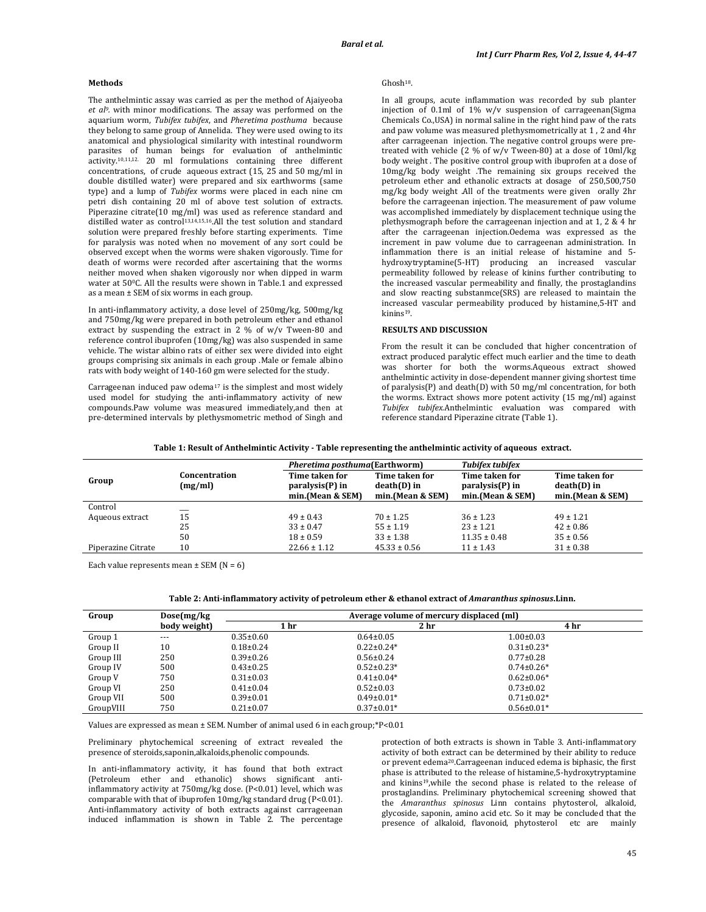## **Methods**

The anthelmintic assay was carried as per the method of Ajaiyeoba *et al9.* with minor modifications. The assay was performed on the aquarium worm, *Tubifex tubifex*, and *Pheretima posthuma* because they belong to same group of Annelida. They were used owing to its anatomical and physiological similarity with intestinal roundworm parasites of human beings for evaluation of anthelmintic activity.10,11,12. 20 ml formulations containing three different concentrations, of crude aqueous extract (15, 25 and 50 mg/ml in double distilled water) were prepared and six earthworms (same type) and a lump of *Tubifex* worms were placed in each nine cm petri dish containing 20 ml of above test solution of extracts. Piperazine citrate(10 mg/ml) was used as reference standard and distilled water as control<sup>13,14,15,16</sup>.All the test solution and standard solution were prepared freshly before starting experiments. Time for paralysis was noted when no movement of any sort could be observed except when the worms were shaken vigorously. Time for death of worms were recorded after ascertaining that the worms neither moved when shaken vigorously nor when dipped in warm water at 50°C. All the results were shown in Table.1 and expressed as a mean ± SEM of six worms in each group.

In anti‐inflammatory activity, a dose level of 250mg/kg, 500mg/kg and 750mg/kg were prepared in both petroleum ether and ethanol extract by suspending the extract in  $2\%$  of  $w/v$  Tween-80 and reference control ibuprofen (10mg/kg) was also suspended in same vehicle. The wistar albino rats of either sex were divided into eight groups comprising six animals in each group .Male or female albino rats with body weight of 140‐160 gm were selected for the study.

Carrageenan induced paw odema<sup>17</sup> is the simplest and most widely used model for studying the anti-inflammatory activity of new compounds.Paw volume was measured immediately,and then at pre‐determined intervals by plethysmometric method of Singh and

## Ghosh18.

In all groups, acute inflammation was recorded by sub planter injection of 0.1ml of 1% w/v suspension of carrageenan(Sigma Chemicals Co.,USA) in normal saline in the right hind paw of the rats and paw volume was measured plethysmometrically at 1 , 2 and 4hr after carrageenan injection. The negative control groups were pre‐ treated with vehicle (2 % of w/v Tween-80) at a dose of  $10$ ml/kg body weight . The positive control group with ibuprofen at a dose of 10mg/kg body weight .The remaining six groups received the petroleum ether and ethanolic extracts at dosage of 250,500,750 mg/kg body weight .All of the treatments were given orally 2hr before the carrageenan injection. The measurement of paw volume was accomplished immediately by displacement technique using the plethysmograph before the carrageenan injection and at 1, 2 & 4 hr after the carrageenan injection.Oedema was expressed as the increment in paw volume due to carrageenan administration. In inflammation there is an initial release of histamine and 5‐ hydroxytryptamine(5‐HT) producing an increased vascular permeability followed by release of kinins further contributing to the increased vascular permeability and finally, the prostaglandins and slow reacting substanmce(SRS) are released to maintain the increased vascular permeability produced by histamine,5‐HT and kinins19.

## **RESULTS AND DISCUSSION**

From the result it can be concluded that higher concentration of extract produced paralytic effect much earlier and the time to death was shorter for both the worms.Aqueous extract showed anthelmintic activity in dose‐dependent manner giving shortest time of paralysis(P) and death(D) with 50 mg/ml concentration, for both the worms. Extract shows more potent activity (15 mg/ml) against *Tubifex tubifex.*Anthelmintic evaluation was compared with reference standard Piperazine citrate (Table 1).

|                    |                          | <i>Pheretima posthuma</i> (Earthworm) |                                 | <b>Tubifex tubifex</b>            |                               |
|--------------------|--------------------------|---------------------------------------|---------------------------------|-----------------------------------|-------------------------------|
| Group              | Concentration<br>(mg/ml) | Time taken for<br>paralysis(P) in     | Time taken for<br>$death(D)$ in | Time taken for<br>paralysis(P) in | Time taken for<br>death(D) in |
|                    |                          | min.(Mean & SEM)                      | min.(Mean & SEM)                | min.(Mean & SEM)                  | min.(Mean & SEM)              |
| Control            |                          |                                       |                                 |                                   |                               |
| Aqueous extract    | 15                       | $49 \pm 0.43$                         | $70 \pm 1.25$                   | $36 \pm 1.23$                     | $49 \pm 1.21$                 |
|                    | 25                       | $33 \pm 0.47$                         | $55 \pm 1.19$                   | $23 \pm 1.21$                     | $42 \pm 0.86$                 |
|                    | 50                       | $18 \pm 0.59$                         | $33 \pm 1.38$                   | $11.35 \pm 0.48$                  | $35 \pm 0.56$                 |
| Piperazine Citrate | 10                       | $22.66 \pm 1.12$                      | $45.33 \pm 0.56$                | $11 \pm 1.43$                     | $31 \pm 0.38$                 |

Each value represents mean  $\pm$  SEM (N = 6)

#### **Table 2: Antiinflammatory activity of petroleum ether & ethanol extract of** *Amaranthus spinosus***.Linn.**

| Group     | Dose(mg/kg)  | Average volume of mercury displaced (ml) |                  |                  |  |
|-----------|--------------|------------------------------------------|------------------|------------------|--|
|           | body weight) | 1 hr                                     | 2 <sub>hr</sub>  | 4 hr             |  |
| Group 1   | $- - -$      | $0.35 \pm 0.60$                          | $0.64 \pm 0.05$  | $1.00 \pm 0.03$  |  |
| Group II  | 10           | $0.18 \pm 0.24$                          | $0.22 \pm 0.24*$ | $0.31 \pm 0.23*$ |  |
| Group III | 250          | $0.39 \pm 0.26$                          | $0.56 \pm 0.24$  | $0.77 \pm 0.28$  |  |
| Group IV  | 500          | $0.43 \pm 0.25$                          | $0.52 \pm 0.23*$ | $0.74\pm0.26*$   |  |
| Group V   | 750          | $0.31 \pm 0.03$                          | $0.41 \pm 0.04*$ | $0.62 \pm 0.06*$ |  |
| Group VI  | 250          | $0.41 \pm 0.04$                          | $0.52 \pm 0.03$  | $0.73 \pm 0.02$  |  |
| Group VII | 500          | $0.39 \pm 0.01$                          | $0.49\pm0.01*$   | $0.71 \pm 0.02*$ |  |
| GroupVIII | 750          | $0.21 \pm 0.07$                          | $0.37 \pm 0.01*$ | $0.56 \pm 0.01*$ |  |

Values are expressed as mean  $\pm$  SEM. Number of animal used 6 in each group;\*P<0.01

Preliminary phytochemical screening of extract revealed the presence of steroids,saponin,alkaloids,phenolic compounds.

In anti-inflammatory activity, it has found that both extract (Petroleum ether and ethanolic) shows significant antiinflammatory activity at 750mg/kg dose. (P<0.01) level, which was comparable with that of ibuprofen 10mg/kg standard drug (P<0.01). Anti‐inflammatory activity of both extracts against carrageenan induced inflammation is shown in Table 2. The percentage protection of both extracts is shown in Table 3. Anti-inflammatory activity of both extract can be determined by their ability to reduce or prevent edema20.Carrageenan induced edema is biphasic, the first phase is attributed to the release of histamine,5‐hydroxytryptamine and kinins<sup>19</sup>, while the second phase is related to the release of prostaglandins. Preliminary phytochemical screening showed that the *Amaranthus spinosus* Linn contains phytosterol, alkaloid, glycoside, saponin, amino acid etc. So it may be concluded that the presence of alkaloid, flavonoid, phytosterol etc are mainly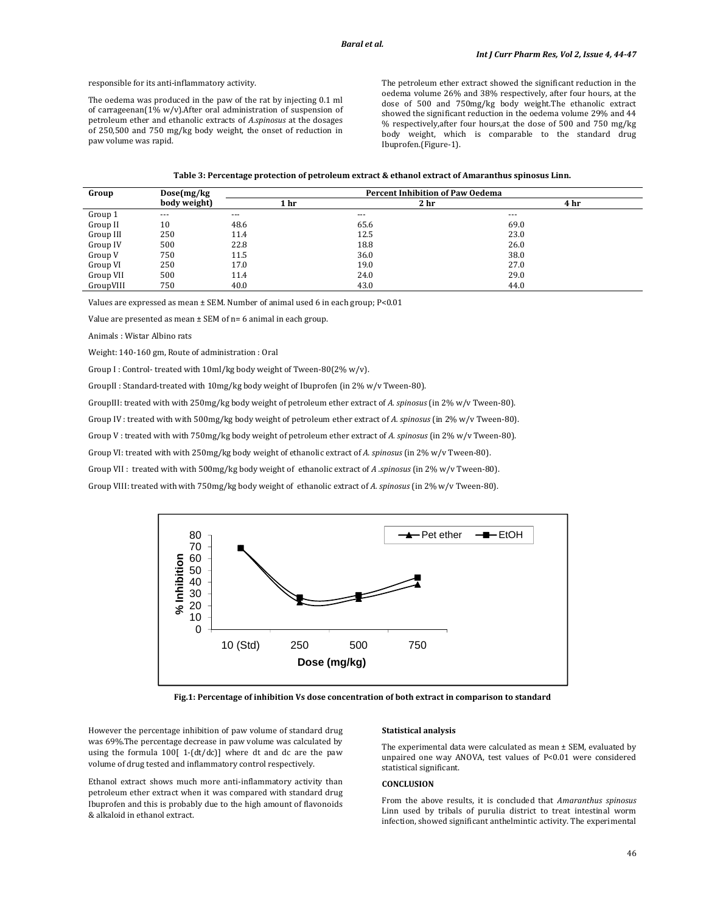responsible for its anti‐inflammatory activity.

The oedema was produced in the paw of the rat by injecting 0.1 ml of carrageenan( $1\%$  w/v). After oral administration of suspension of petroleum ether and ethanolic extracts of *A.spinosus* at the dosages of 250,500 and 750 mg/kg body weight, the onset of reduction in paw volume was rapid.

The petroleum ether extract showed the significant reduction in the oedema volume 26% and 38% respectively, after four hours, at the dose of 500 and 750mg/kg body weight.The ethanolic extract showed the significant reduction in the oedema volume 29% and 44 % respectively,after four hours,at the dose of 500 and 750 mg/kg body weight, which is comparable to the standard drug Ibuprofen.(Figure‐1).

|  | Table 3: Percentage protection of petroleum extract & ethanol extract of Amaranthus spinosus Linn. |  |
|--|----------------------------------------------------------------------------------------------------|--|
|--|----------------------------------------------------------------------------------------------------|--|

| Group     | Dose(mg/kg)  | <b>Percent Inhibition of Paw Oedema</b> |                 |         |  |
|-----------|--------------|-----------------------------------------|-----------------|---------|--|
|           | body weight) | 1 <sub>hr</sub>                         | 2 <sub>hr</sub> | 4 hr    |  |
| Group 1   | $- - -$      | $--$                                    | $- - -$         | $- - -$ |  |
| Group II  | 10           | 48.6                                    | 65.6            | 69.0    |  |
| Group III | 250          | 11.4                                    | 12.5            | 23.0    |  |
| Group IV  | 500          | 22.8                                    | 18.8            | 26.0    |  |
| Group V   | 750          | 11.5                                    | 36.0            | 38.0    |  |
| Group VI  | 250          | 17.0                                    | 19.0            | 27.0    |  |
| Group VII | 500          | 11.4                                    | 24.0            | 29.0    |  |
| GroupVIII | 750          | 40.0                                    | 43.0            | 44.0    |  |

Values are expressed as mean ± SEM. Number of animal used 6 in each group; P<0.01

Value are presented as mean  $\pm$  SEM of n= 6 animal in each group.

Animals : Wistar Albino rats

Weight: 140‐160 gm, Route of administration : Oral

Group I : Control-treated with 10ml/kg body weight of Tween-80(2% w/v).

GroupII : Standard-treated with 10mg/kg body weight of Ibuprofen (in 2% w/v Tween-80).

GroupIII: treated with with 250mg/kg body weight of petroleum ether extract of *A. spinosus* (in 2% w/v Tween‐80).

Group IV : treated with with 500mg/kg body weight of petroleum ether extract of *A. spinosus* (in 2% w/v Tween‐80).

Group V : treated with with 750mg/kg body weight of petroleum ether extract of *A. spinosus* (in 2% w/v Tween‐80).

Group VI: treated with with 250mg/kg body weight of ethanolic extract of *A. spinosus* (in 2% w/v Tween‐80).

Group VII : treated with with 500mg/kg body weight of ethanolic extract of *A .spinosus* (in 2% w/v Tween‐80).

Group VIII: treated with with 750mg/kg body weight of ethanolic extract of *A. spinosus* (in 2% w/v Tween‐80).



**Fig.1: Percentage of inhibition Vs dose concentration of both extract in comparison to standard**

However the percentage inhibition of paw volume of standard drug was 69%.The percentage decrease in paw volume was calculated by using the formula 100[ 1-(dt/dc)] where dt and dc are the paw volume of drug tested and inflammatory control respectively.

Ethanol extract shows much more anti-inflammatory activity than petroleum ether extract when it was compared with standard drug Ibuprofen and this is probably due to the high amount of flavonoids & alkaloid in ethanol extract.

#### **Statistical analysis**

The experimental data were calculated as mean ± SEM, evaluated by unpaired one way ANOVA, test values of P<0.01 were considered statistical significant.

## **CONCLUSION**

From the above results, it is concluded that *Amaranthus spinosus* Linn used by tribals of purulia district to treat intestinal worm infection, showed significant anthelmintic activity. The experimental